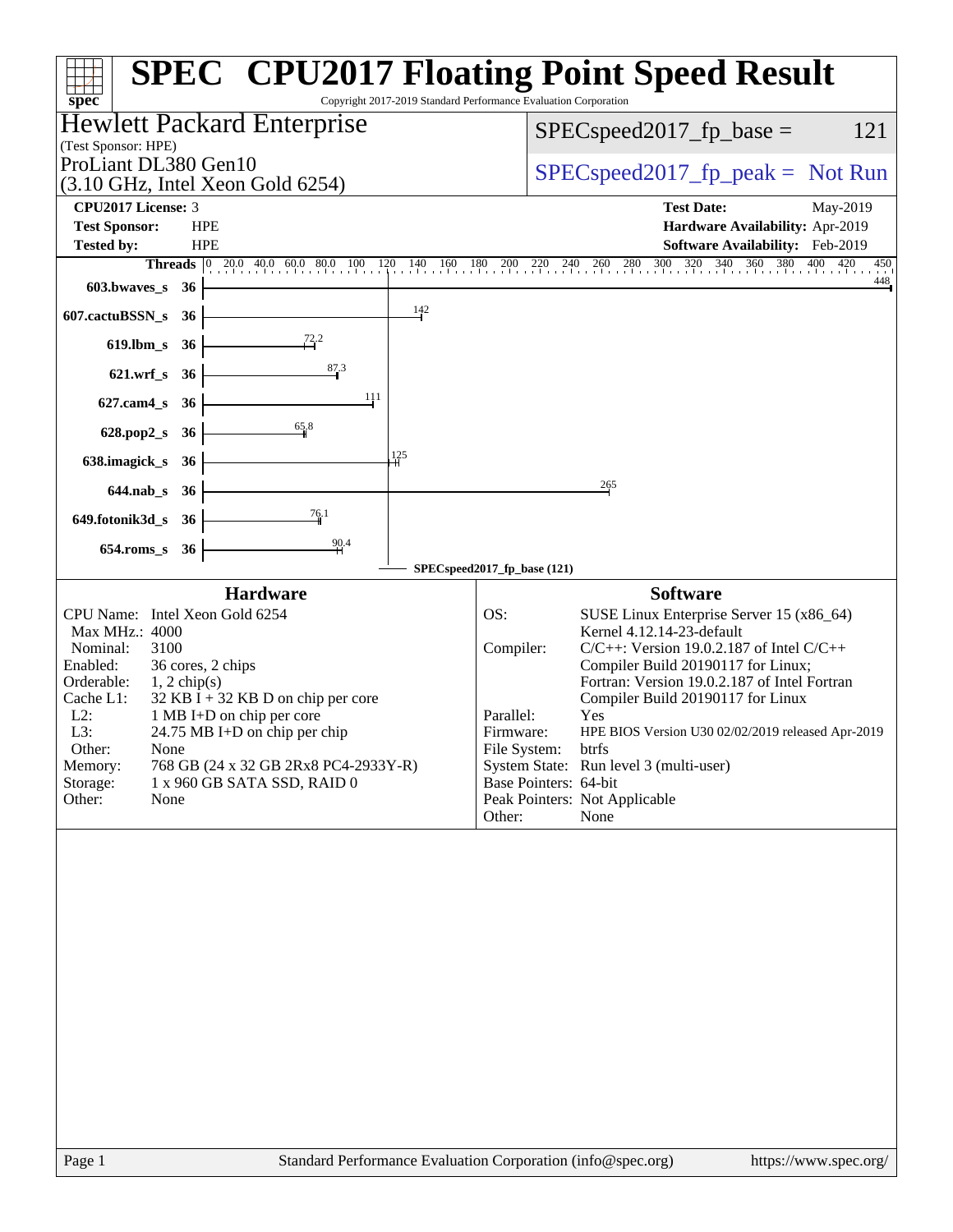| Copyright 2017-2019 Standard Performance Evaluation Corporation<br>$spec^*$                                                                                                                                                                                                                                                                                                                                                    | <b>SPEC<sup>®</sup> CPU2017 Floating Point Speed Result</b>                                                                                                                                                                                                                                                                                                                                                                                                                                                                   |
|--------------------------------------------------------------------------------------------------------------------------------------------------------------------------------------------------------------------------------------------------------------------------------------------------------------------------------------------------------------------------------------------------------------------------------|-------------------------------------------------------------------------------------------------------------------------------------------------------------------------------------------------------------------------------------------------------------------------------------------------------------------------------------------------------------------------------------------------------------------------------------------------------------------------------------------------------------------------------|
| <b>Hewlett Packard Enterprise</b>                                                                                                                                                                                                                                                                                                                                                                                              | 121                                                                                                                                                                                                                                                                                                                                                                                                                                                                                                                           |
| (Test Sponsor: HPE)                                                                                                                                                                                                                                                                                                                                                                                                            | $SPEC speed2017_fp\_base =$                                                                                                                                                                                                                                                                                                                                                                                                                                                                                                   |
| ProLiant DL380 Gen10                                                                                                                                                                                                                                                                                                                                                                                                           | $SPEC speed2017fr peak = Not Run$                                                                                                                                                                                                                                                                                                                                                                                                                                                                                             |
| $(3.10 \text{ GHz}, \text{Intel Xeon Gold } 6254)$<br>CPU2017 License: 3                                                                                                                                                                                                                                                                                                                                                       | <b>Test Date:</b><br>May-2019                                                                                                                                                                                                                                                                                                                                                                                                                                                                                                 |
| <b>Test Sponsor:</b><br><b>HPE</b>                                                                                                                                                                                                                                                                                                                                                                                             | Hardware Availability: Apr-2019                                                                                                                                                                                                                                                                                                                                                                                                                                                                                               |
| <b>Tested by:</b><br><b>HPE</b>                                                                                                                                                                                                                                                                                                                                                                                                | <b>Software Availability:</b> Feb-2019                                                                                                                                                                                                                                                                                                                                                                                                                                                                                        |
| <b>Threads</b> $\begin{bmatrix} 0 & 20.0 & 40.0 & 60.0 & 80.0 & 100 & 120 \end{bmatrix}$                                                                                                                                                                                                                                                                                                                                       | 320 340 360 380 400 420<br>300<br>140 160 180 200 220 240<br>260 280<br>450<br>448                                                                                                                                                                                                                                                                                                                                                                                                                                            |
| $603.bwaves$ $36$                                                                                                                                                                                                                                                                                                                                                                                                              |                                                                                                                                                                                                                                                                                                                                                                                                                                                                                                                               |
| $\frac{142}{ }$<br>607.cactuBSSN_s<br>- 36                                                                                                                                                                                                                                                                                                                                                                                     |                                                                                                                                                                                                                                                                                                                                                                                                                                                                                                                               |
| 72.2<br>$619$ .lbm_s<br>- 36                                                                                                                                                                                                                                                                                                                                                                                                   |                                                                                                                                                                                                                                                                                                                                                                                                                                                                                                                               |
| 87.3<br>621.wrf_s 36                                                                                                                                                                                                                                                                                                                                                                                                           |                                                                                                                                                                                                                                                                                                                                                                                                                                                                                                                               |
| 111<br>$627$ .cam $4_s$<br>- 36                                                                                                                                                                                                                                                                                                                                                                                                |                                                                                                                                                                                                                                                                                                                                                                                                                                                                                                                               |
| 65.8<br>628.pop2_s 36                                                                                                                                                                                                                                                                                                                                                                                                          |                                                                                                                                                                                                                                                                                                                                                                                                                                                                                                                               |
| 125                                                                                                                                                                                                                                                                                                                                                                                                                            |                                                                                                                                                                                                                                                                                                                                                                                                                                                                                                                               |
| 638.imagick_s<br><b>36</b>                                                                                                                                                                                                                                                                                                                                                                                                     |                                                                                                                                                                                                                                                                                                                                                                                                                                                                                                                               |
| 644.nab_s 36                                                                                                                                                                                                                                                                                                                                                                                                                   | 265                                                                                                                                                                                                                                                                                                                                                                                                                                                                                                                           |
| 76.1<br>649.fotonik3d_s 36                                                                                                                                                                                                                                                                                                                                                                                                     |                                                                                                                                                                                                                                                                                                                                                                                                                                                                                                                               |
| $\frac{90.4}{4}$<br>$654$ .roms_s<br>- 36                                                                                                                                                                                                                                                                                                                                                                                      |                                                                                                                                                                                                                                                                                                                                                                                                                                                                                                                               |
|                                                                                                                                                                                                                                                                                                                                                                                                                                | SPECspeed2017_fp_base (121)                                                                                                                                                                                                                                                                                                                                                                                                                                                                                                   |
| <b>Hardware</b><br>CPU Name: Intel Xeon Gold 6254<br>Max MHz.: 4000<br>3100<br>Nominal:<br>36 cores, 2 chips<br>Enabled:<br>Orderable:<br>$1, 2$ chip(s)<br>$32$ KB I + 32 KB D on chip per core<br>Cache L1:<br>$L2$ :<br>1 MB I+D on chip per core<br>L3:<br>24.75 MB I+D on chip per chip<br>Other:<br>None<br>768 GB (24 x 32 GB 2Rx8 PC4-2933Y-R)<br>Memory:<br>Storage:<br>1 x 960 GB SATA SSD, RAID 0<br>Other:<br>None | <b>Software</b><br>OS:<br>SUSE Linux Enterprise Server 15 (x86_64)<br>Kernel 4.12.14-23-default<br>Compiler:<br>$C/C++$ : Version 19.0.2.187 of Intel $C/C++$<br>Compiler Build 20190117 for Linux;<br>Fortran: Version 19.0.2.187 of Intel Fortran<br>Compiler Build 20190117 for Linux<br>Parallel:<br>Yes<br>Firmware:<br>HPE BIOS Version U30 02/02/2019 released Apr-2019<br>File System:<br>btrfs<br>System State: Run level 3 (multi-user)<br>Base Pointers: 64-bit<br>Peak Pointers: Not Applicable<br>None<br>Other: |
|                                                                                                                                                                                                                                                                                                                                                                                                                                |                                                                                                                                                                                                                                                                                                                                                                                                                                                                                                                               |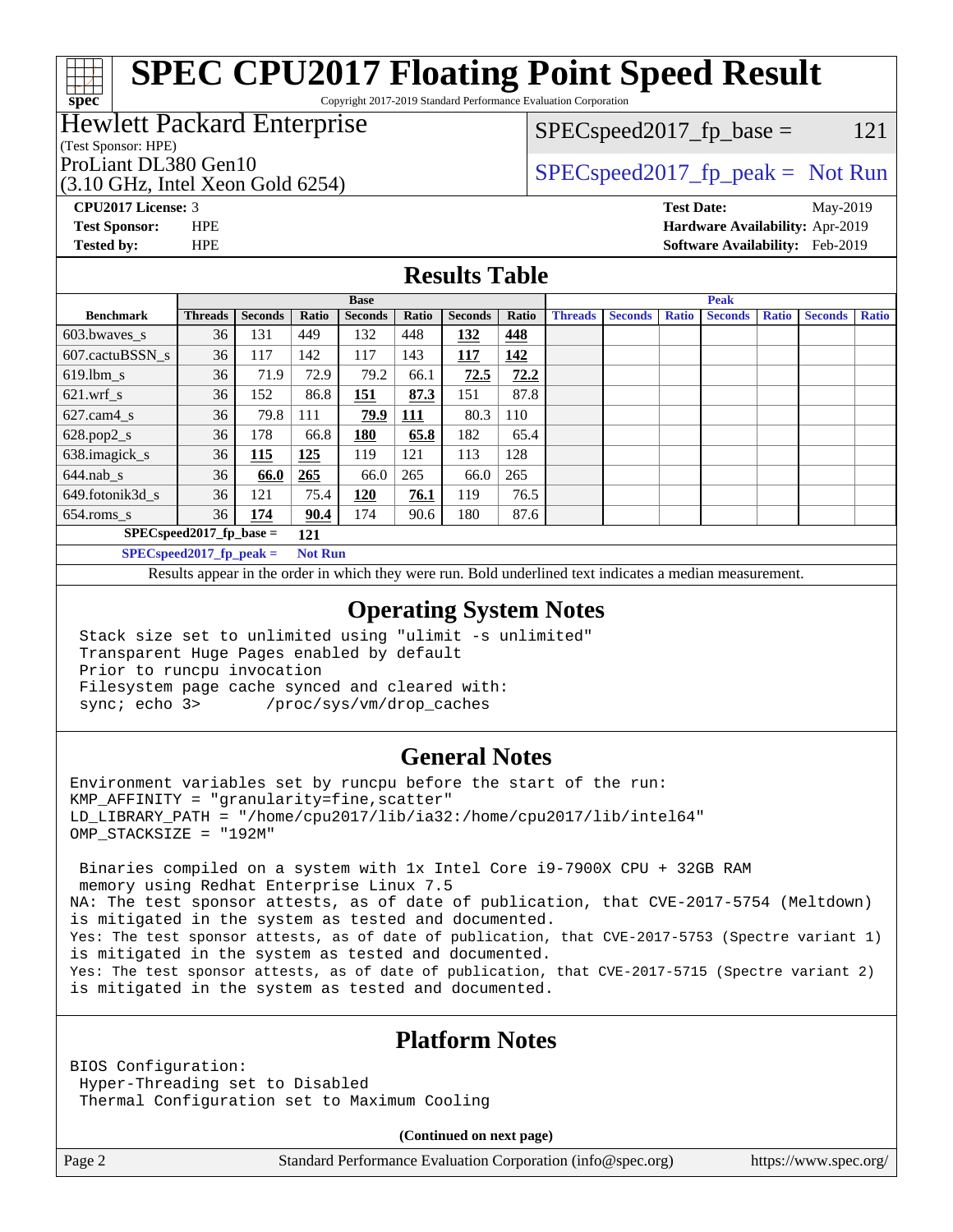# **[SPEC CPU2017 Floating Point Speed Result](http://www.spec.org/auto/cpu2017/Docs/result-fields.html#SPECCPU2017FloatingPointSpeedResult)**

Copyright 2017-2019 Standard Performance Evaluation Corporation

### Hewlett Packard Enterprise

#### (Test Sponsor: HPE)

(3.10 GHz, Intel Xeon Gold 6254)

 $SPEC speed2017_f p\_base = 121$ 

## ProLiant DL380 Gen10  $SPEC speed2017$  fp\_peak = Not Run

**[spec](http://www.spec.org/)**

**[CPU2017 License:](http://www.spec.org/auto/cpu2017/Docs/result-fields.html#CPU2017License)** 3 **[Test Date:](http://www.spec.org/auto/cpu2017/Docs/result-fields.html#TestDate)** May-2019 **[Test Sponsor:](http://www.spec.org/auto/cpu2017/Docs/result-fields.html#TestSponsor)** HPE **[Hardware Availability:](http://www.spec.org/auto/cpu2017/Docs/result-fields.html#HardwareAvailability)** Apr-2019 **[Tested by:](http://www.spec.org/auto/cpu2017/Docs/result-fields.html#Testedby)** HPE **[Software Availability:](http://www.spec.org/auto/cpu2017/Docs/result-fields.html#SoftwareAvailability)** Feb-2019

#### **[Results Table](http://www.spec.org/auto/cpu2017/Docs/result-fields.html#ResultsTable)**

|                                   | <b>Base</b>                |                |                |                |            | <b>Peak</b>    |       |                |                |              |                |              |                |              |
|-----------------------------------|----------------------------|----------------|----------------|----------------|------------|----------------|-------|----------------|----------------|--------------|----------------|--------------|----------------|--------------|
| <b>Benchmark</b>                  | <b>Threads</b>             | <b>Seconds</b> | Ratio          | <b>Seconds</b> | Ratio      | <b>Seconds</b> | Ratio | <b>Threads</b> | <b>Seconds</b> | <b>Ratio</b> | <b>Seconds</b> | <b>Ratio</b> | <b>Seconds</b> | <b>Ratio</b> |
| 603.bwayes_s                      | 36                         | 131            | 449            | 132            | 448        | 132            | 448   |                |                |              |                |              |                |              |
| 607.cactuBSSN s                   | 36                         | 117            | 142            | 117            | 143        | <b>117</b>     | 142   |                |                |              |                |              |                |              |
| $619.$ lbm_s                      | 36                         | 71.9           | 72.9           | 79.2           | 66.1       | 72.5           | 72.2  |                |                |              |                |              |                |              |
| $621.wrf$ s                       | 36                         | 152            | 86.8           | 151            | 87.3       | 151            | 87.8  |                |                |              |                |              |                |              |
| $627.cam4_s$                      | 36                         | 79.8           | 111            | 79.9           | <b>111</b> | 80.3           | 110   |                |                |              |                |              |                |              |
| $628.pop2_s$                      | 36                         | 178            | 66.8           | <b>180</b>     | 65.8       | 182            | 65.4  |                |                |              |                |              |                |              |
| 638.imagick_s                     | 36                         | 115            | 125            | 119            | 121        | 113            | 128   |                |                |              |                |              |                |              |
| $644$ .nab s                      | 36                         | 66.0           | 265            | 66.0           | 265        | 66.0           | 265   |                |                |              |                |              |                |              |
| 649.fotonik3d s                   | 36                         | 121            | 75.4           | 120            | 76.1       | 119            | 76.5  |                |                |              |                |              |                |              |
| $654$ .roms s                     | 36                         | 174            | 90.4           | 174            | 90.6       | 180            | 87.6  |                |                |              |                |              |                |              |
| $SPEC speed2017$ fp base =<br>121 |                            |                |                |                |            |                |       |                |                |              |                |              |                |              |
|                                   | $SPECspeed2017_fp\_peak =$ |                | <b>Not Run</b> |                |            |                |       |                |                |              |                |              |                |              |

Results appear in the [order in which they were run.](http://www.spec.org/auto/cpu2017/Docs/result-fields.html#RunOrder) Bold underlined text [indicates a median measurement](http://www.spec.org/auto/cpu2017/Docs/result-fields.html#Median).

#### **[Operating System Notes](http://www.spec.org/auto/cpu2017/Docs/result-fields.html#OperatingSystemNotes)**

 Stack size set to unlimited using "ulimit -s unlimited" Transparent Huge Pages enabled by default Prior to runcpu invocation Filesystem page cache synced and cleared with: sync; echo 3> /proc/sys/vm/drop\_caches

#### **[General Notes](http://www.spec.org/auto/cpu2017/Docs/result-fields.html#GeneralNotes)**

Environment variables set by runcpu before the start of the run:  $KMP$  AFFINITY = "granularity=fine, scatter" LD\_LIBRARY\_PATH = "/home/cpu2017/lib/ia32:/home/cpu2017/lib/intel64" OMP\_STACKSIZE = "192M"

 Binaries compiled on a system with 1x Intel Core i9-7900X CPU + 32GB RAM memory using Redhat Enterprise Linux 7.5 NA: The test sponsor attests, as of date of publication, that CVE-2017-5754 (Meltdown) is mitigated in the system as tested and documented. Yes: The test sponsor attests, as of date of publication, that CVE-2017-5753 (Spectre variant 1) is mitigated in the system as tested and documented. Yes: The test sponsor attests, as of date of publication, that CVE-2017-5715 (Spectre variant 2) is mitigated in the system as tested and documented.

#### **[Platform Notes](http://www.spec.org/auto/cpu2017/Docs/result-fields.html#PlatformNotes)**

BIOS Configuration: Hyper-Threading set to Disabled Thermal Configuration set to Maximum Cooling

**(Continued on next page)**

Page 2 Standard Performance Evaluation Corporation [\(info@spec.org\)](mailto:info@spec.org) <https://www.spec.org/>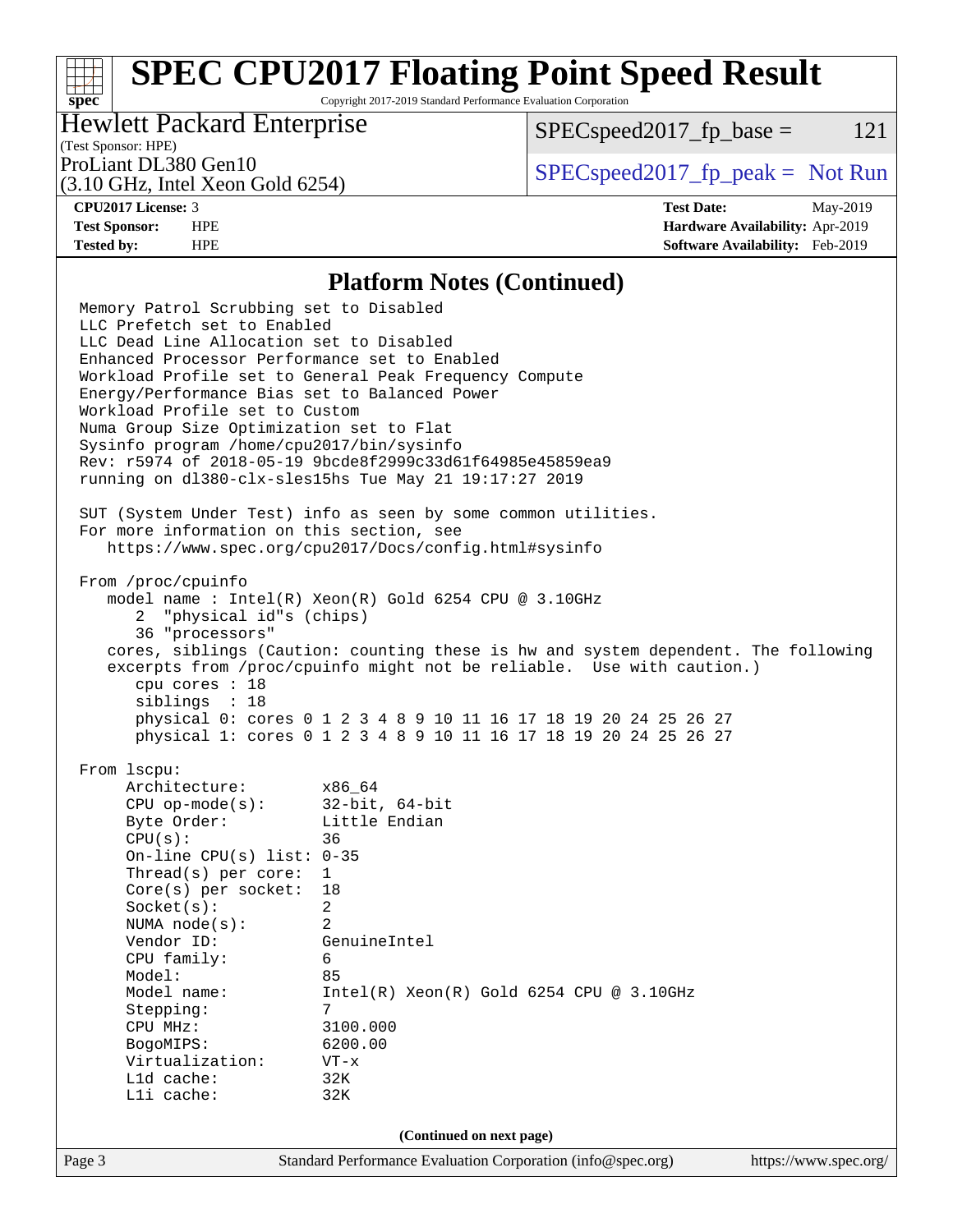# **[SPEC CPU2017 Floating Point Speed Result](http://www.spec.org/auto/cpu2017/Docs/result-fields.html#SPECCPU2017FloatingPointSpeedResult)**

Copyright 2017-2019 Standard Performance Evaluation Corporation

### Hewlett Packard Enterprise

 $SPEC speed2017_f p\_base = 121$ 

# (Test Sponsor: HPE)

(3.10 GHz, Intel Xeon Gold 6254)

ProLiant DL380 Gen10  $SPEC speed2017$  [p\_peak = Not Run

**[spec](http://www.spec.org/)**

**[CPU2017 License:](http://www.spec.org/auto/cpu2017/Docs/result-fields.html#CPU2017License)** 3 **[Test Date:](http://www.spec.org/auto/cpu2017/Docs/result-fields.html#TestDate)** May-2019 **[Test Sponsor:](http://www.spec.org/auto/cpu2017/Docs/result-fields.html#TestSponsor)** HPE **[Hardware Availability:](http://www.spec.org/auto/cpu2017/Docs/result-fields.html#HardwareAvailability)** Apr-2019 **[Tested by:](http://www.spec.org/auto/cpu2017/Docs/result-fields.html#Testedby)** HPE **[Software Availability:](http://www.spec.org/auto/cpu2017/Docs/result-fields.html#SoftwareAvailability)** Feb-2019

#### **[Platform Notes \(Continued\)](http://www.spec.org/auto/cpu2017/Docs/result-fields.html#PlatformNotes)**

Page 3 Standard Performance Evaluation Corporation [\(info@spec.org\)](mailto:info@spec.org) <https://www.spec.org/> Memory Patrol Scrubbing set to Disabled LLC Prefetch set to Enabled LLC Dead Line Allocation set to Disabled Enhanced Processor Performance set to Enabled Workload Profile set to General Peak Frequency Compute Energy/Performance Bias set to Balanced Power Workload Profile set to Custom Numa Group Size Optimization set to Flat Sysinfo program /home/cpu2017/bin/sysinfo Rev: r5974 of 2018-05-19 9bcde8f2999c33d61f64985e45859ea9 running on dl380-clx-sles15hs Tue May 21 19:17:27 2019 SUT (System Under Test) info as seen by some common utilities. For more information on this section, see <https://www.spec.org/cpu2017/Docs/config.html#sysinfo> From /proc/cpuinfo model name : Intel(R) Xeon(R) Gold 6254 CPU @ 3.10GHz 2 "physical id"s (chips) 36 "processors" cores, siblings (Caution: counting these is hw and system dependent. The following excerpts from /proc/cpuinfo might not be reliable. Use with caution.) cpu cores : 18 siblings : 18 physical 0: cores 0 1 2 3 4 8 9 10 11 16 17 18 19 20 24 25 26 27 physical 1: cores 0 1 2 3 4 8 9 10 11 16 17 18 19 20 24 25 26 27 From lscpu: Architecture: x86\_64 CPU op-mode(s): 32-bit, 64-bit Byte Order: Little Endian CPU(s): 36 On-line CPU(s) list: 0-35 Thread(s) per core: 1 Core(s) per socket: 18 Socket(s): 2 NUMA node(s): 2 Vendor ID: GenuineIntel CPU family: 6 Model: 85 Model name: Intel(R) Xeon(R) Gold 6254 CPU @ 3.10GHz Stepping: CPU MHz: 3100.000 BogoMIPS: 6200.00 Virtualization: VT-x L1d cache: 32K L1i cache: 32K **(Continued on next page)**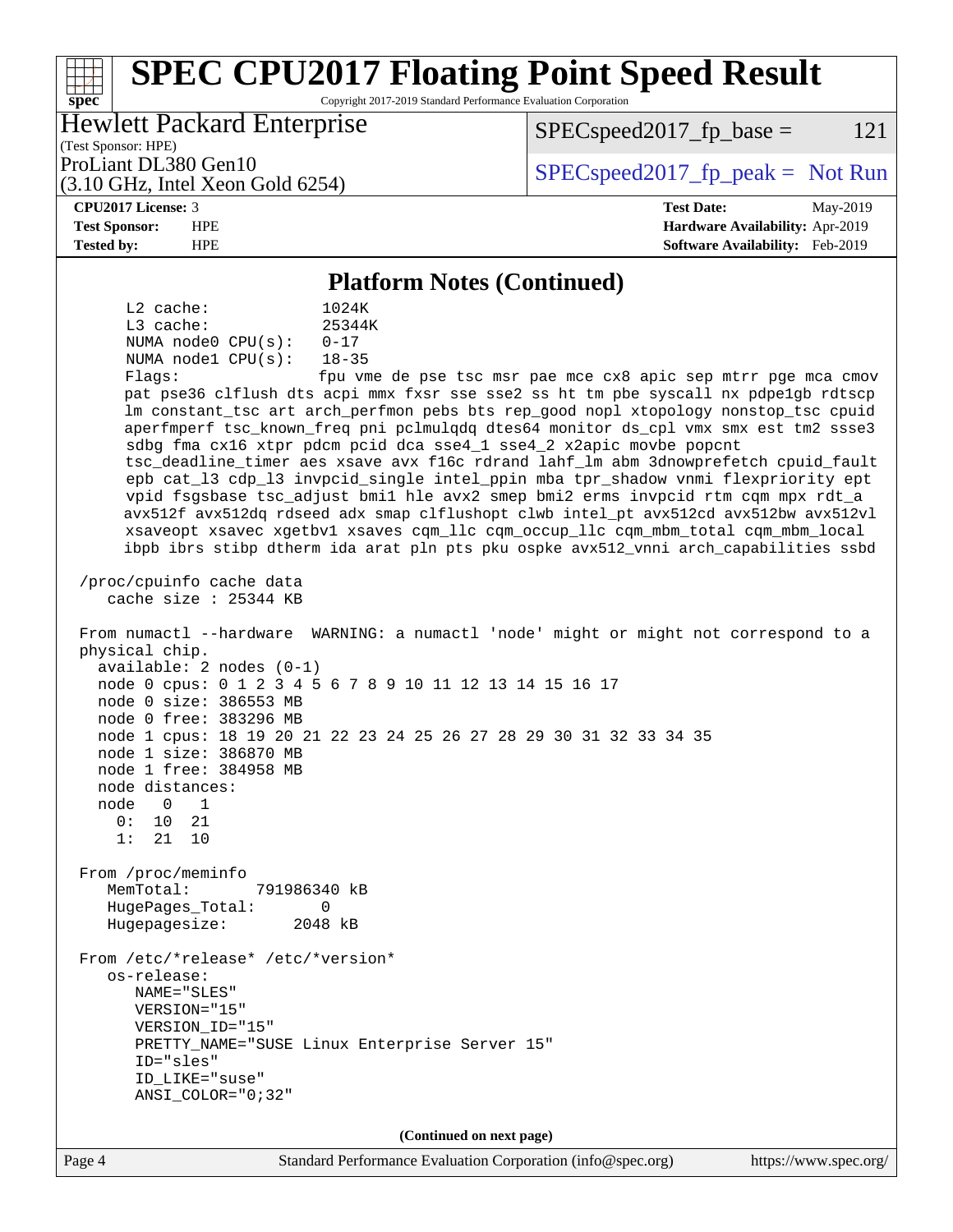#### Page 4 Standard Performance Evaluation Corporation [\(info@spec.org\)](mailto:info@spec.org) <https://www.spec.org/> **[spec](http://www.spec.org/) [SPEC CPU2017 Floating Point Speed Result](http://www.spec.org/auto/cpu2017/Docs/result-fields.html#SPECCPU2017FloatingPointSpeedResult)** Copyright 2017-2019 Standard Performance Evaluation Corporation (Test Sponsor: HPE) Hewlett Packard Enterprise (3.10 GHz, Intel Xeon Gold 6254) ProLiant DL380 Gen10  $SPEC speed2017$  [p\_peak = Not Run  $SPEC speed2017_f p\_base = 121$ **[CPU2017 License:](http://www.spec.org/auto/cpu2017/Docs/result-fields.html#CPU2017License)** 3 **[Test Date:](http://www.spec.org/auto/cpu2017/Docs/result-fields.html#TestDate)** May-2019 **[Test Sponsor:](http://www.spec.org/auto/cpu2017/Docs/result-fields.html#TestSponsor)** HPE **[Hardware Availability:](http://www.spec.org/auto/cpu2017/Docs/result-fields.html#HardwareAvailability)** Apr-2019 **[Tested by:](http://www.spec.org/auto/cpu2017/Docs/result-fields.html#Testedby)** HPE **[Software Availability:](http://www.spec.org/auto/cpu2017/Docs/result-fields.html#SoftwareAvailability)** Feb-2019 **[Platform Notes \(Continued\)](http://www.spec.org/auto/cpu2017/Docs/result-fields.html#PlatformNotes)** L2 cache: 1024K L3 cache: 25344K NUMA node0 CPU(s): 0-17 NUMA node1 CPU(s): 18-35 Flags: fpu vme de pse tsc msr pae mce cx8 apic sep mtrr pge mca cmov pat pse36 clflush dts acpi mmx fxsr sse sse2 ss ht tm pbe syscall nx pdpe1gb rdtscp lm constant\_tsc art arch\_perfmon pebs bts rep\_good nopl xtopology nonstop\_tsc cpuid aperfmperf tsc\_known\_freq pni pclmulqdq dtes64 monitor ds\_cpl vmx smx est tm2 ssse3 sdbg fma cx16 xtpr pdcm pcid dca sse4\_1 sse4\_2 x2apic movbe popcnt tsc\_deadline\_timer aes xsave avx f16c rdrand lahf\_lm abm 3dnowprefetch cpuid\_fault epb cat\_l3 cdp\_l3 invpcid\_single intel\_ppin mba tpr\_shadow vnmi flexpriority ept vpid fsgsbase tsc\_adjust bmi1 hle avx2 smep bmi2 erms invpcid rtm cqm mpx rdt\_a avx512f avx512dq rdseed adx smap clflushopt clwb intel\_pt avx512cd avx512bw avx512vl xsaveopt xsavec xgetbv1 xsaves cqm\_llc cqm\_occup\_llc cqm\_mbm\_total cqm\_mbm\_local ibpb ibrs stibp dtherm ida arat pln pts pku ospke avx512\_vnni arch\_capabilities ssbd /proc/cpuinfo cache data cache size : 25344 KB From numactl --hardware WARNING: a numactl 'node' might or might not correspond to a physical chip. available: 2 nodes (0-1) node 0 cpus: 0 1 2 3 4 5 6 7 8 9 10 11 12 13 14 15 16 17 node 0 size: 386553 MB node 0 free: 383296 MB node 1 cpus: 18 19 20 21 22 23 24 25 26 27 28 29 30 31 32 33 34 35 node 1 size: 386870 MB node 1 free: 384958 MB node distances: node 0 1 0: 10 21 1: 21 10 From /proc/meminfo MemTotal: 791986340 kB HugePages\_Total: 0 Hugepagesize: 2048 kB From /etc/\*release\* /etc/\*version\* os-release: NAME="SLES" VERSION="15" VERSION\_ID="15" PRETTY\_NAME="SUSE Linux Enterprise Server 15" ID="sles" ID\_LIKE="suse" ANSI\_COLOR="0;32" **(Continued on next page)**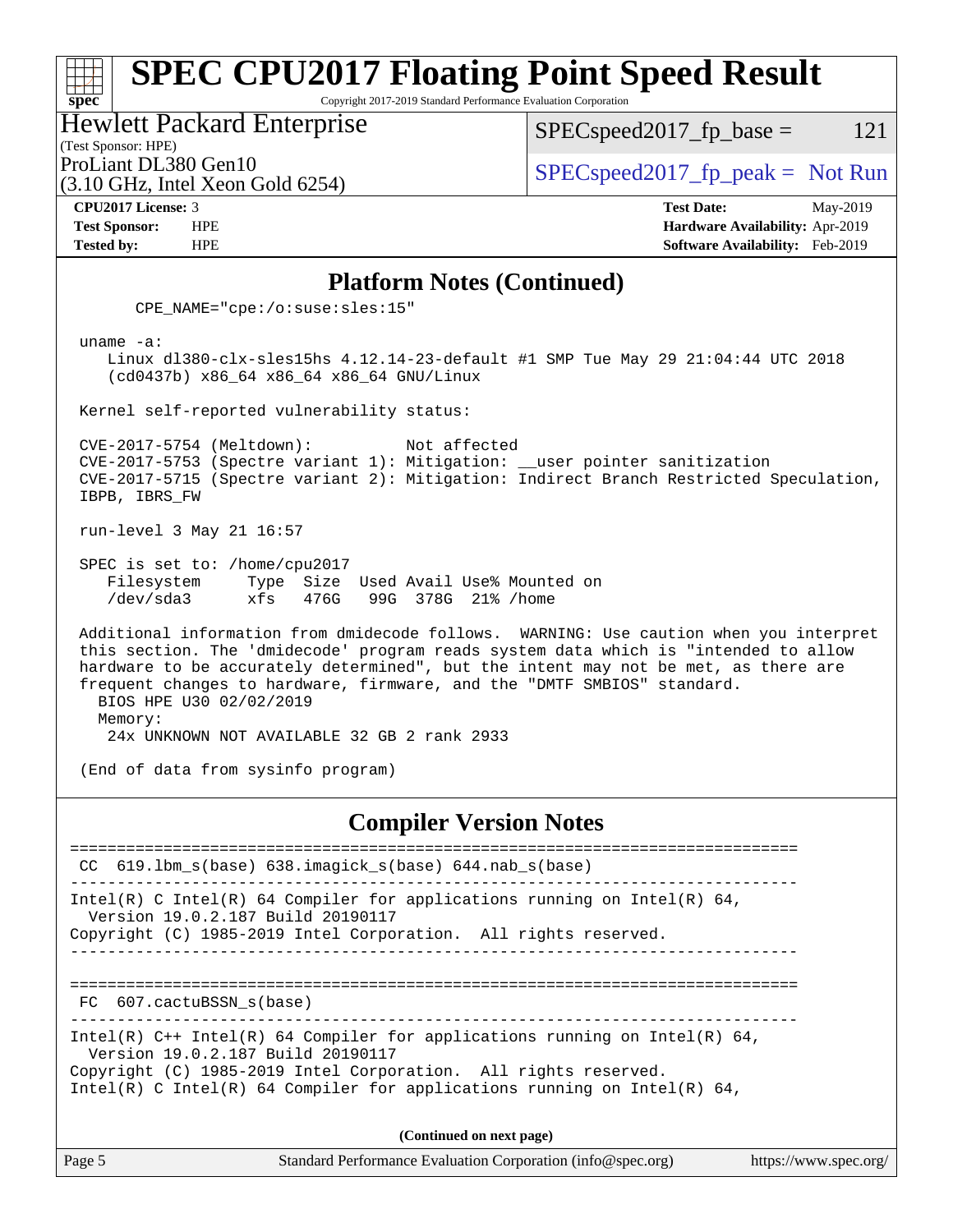#### **[spec](http://www.spec.org/) [SPEC CPU2017 Floating Point Speed Result](http://www.spec.org/auto/cpu2017/Docs/result-fields.html#SPECCPU2017FloatingPointSpeedResult)** Copyright 2017-2019 Standard Performance Evaluation Corporation Hewlett Packard Enterprise  $SPEC speed2017_fp\_base = 121$

(Test Sponsor: HPE)

(3.10 GHz, Intel Xeon Gold 6254)

ProLiant DL380 Gen10  $SPEC speed2017_f$   $p\_peak = Not Run$ 

**[CPU2017 License:](http://www.spec.org/auto/cpu2017/Docs/result-fields.html#CPU2017License)** 3 **[Test Date:](http://www.spec.org/auto/cpu2017/Docs/result-fields.html#TestDate)** May-2019 **[Test Sponsor:](http://www.spec.org/auto/cpu2017/Docs/result-fields.html#TestSponsor)** HPE **[Hardware Availability:](http://www.spec.org/auto/cpu2017/Docs/result-fields.html#HardwareAvailability)** Apr-2019 **[Tested by:](http://www.spec.org/auto/cpu2017/Docs/result-fields.html#Testedby)** HPE **[Software Availability:](http://www.spec.org/auto/cpu2017/Docs/result-fields.html#SoftwareAvailability)** Feb-2019

#### **[Platform Notes \(Continued\)](http://www.spec.org/auto/cpu2017/Docs/result-fields.html#PlatformNotes)**

CPE\_NAME="cpe:/o:suse:sles:15"

uname -a:

 Linux dl380-clx-sles15hs 4.12.14-23-default #1 SMP Tue May 29 21:04:44 UTC 2018 (cd0437b) x86\_64 x86\_64 x86\_64 GNU/Linux

Kernel self-reported vulnerability status:

 CVE-2017-5754 (Meltdown): Not affected CVE-2017-5753 (Spectre variant 1): Mitigation: \_\_user pointer sanitization CVE-2017-5715 (Spectre variant 2): Mitigation: Indirect Branch Restricted Speculation, IBPB, IBRS\_FW

run-level 3 May 21 16:57

 SPEC is set to: /home/cpu2017 Filesystem Type Size Used Avail Use% Mounted on /dev/sda3 xfs 476G 99G 378G 21% /home

 Additional information from dmidecode follows. WARNING: Use caution when you interpret this section. The 'dmidecode' program reads system data which is "intended to allow hardware to be accurately determined", but the intent may not be met, as there are frequent changes to hardware, firmware, and the "DMTF SMBIOS" standard. BIOS HPE U30 02/02/2019 Memory:

24x UNKNOWN NOT AVAILABLE 32 GB 2 rank 2933

(End of data from sysinfo program)

#### **[Compiler Version Notes](http://www.spec.org/auto/cpu2017/Docs/result-fields.html#CompilerVersionNotes)**

============================================================================== CC 619.lbm\_s(base) 638.imagick\_s(base) 644.nab\_s(base) ------------------------------------------------------------------------------ Intel(R) C Intel(R) 64 Compiler for applications running on Intel(R) 64, Version 19.0.2.187 Build 20190117 Copyright (C) 1985-2019 Intel Corporation. All rights reserved. ------------------------------------------------------------------------------ ============================================================================== FC 607.cactuBSSN\_s(base) ------------------------------------------------------------------------------ Intel(R)  $C++$  Intel(R) 64 Compiler for applications running on Intel(R) 64, Version 19.0.2.187 Build 20190117 Copyright (C) 1985-2019 Intel Corporation. All rights reserved. Intel(R) C Intel(R) 64 Compiler for applications running on Intel(R)  $64$ , **(Continued on next page)**

Page 5 Standard Performance Evaluation Corporation [\(info@spec.org\)](mailto:info@spec.org) <https://www.spec.org/>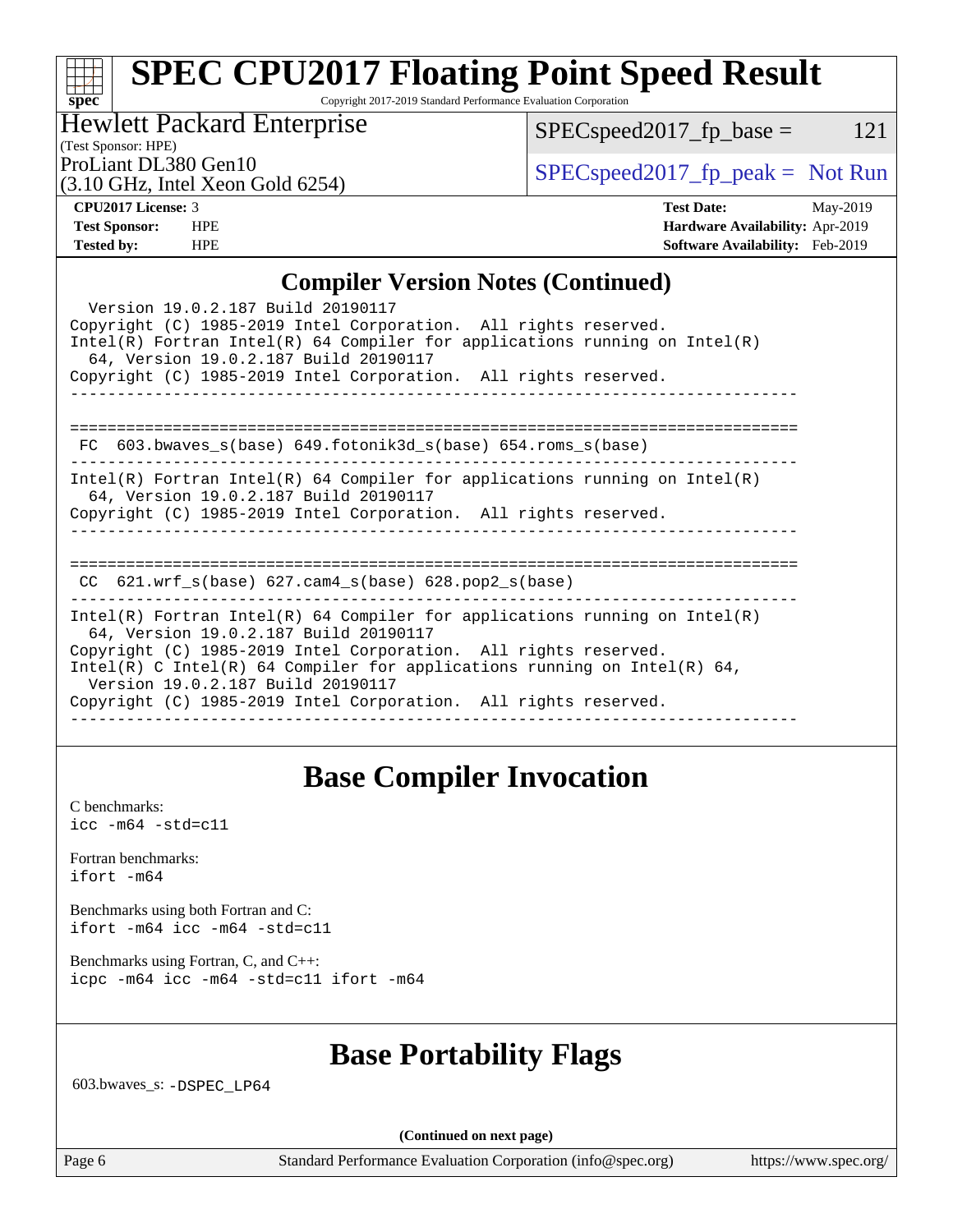#### **[spec](http://www.spec.org/) [SPEC CPU2017 Floating Point Speed Result](http://www.spec.org/auto/cpu2017/Docs/result-fields.html#SPECCPU2017FloatingPointSpeedResult)** Copyright 2017-2019 Standard Performance Evaluation Corporation

## Hewlett Packard Enterprise

 $SPEC speed2017_fp\_base = 121$ 

# (Test Sponsor: HPE)

(3.10 GHz, Intel Xeon Gold 6254)

ProLiant DL380 Gen10<br>  $SPECspeed2017_fp\_peak = Not Run$ 

**[CPU2017 License:](http://www.spec.org/auto/cpu2017/Docs/result-fields.html#CPU2017License)** 3 **[Test Date:](http://www.spec.org/auto/cpu2017/Docs/result-fields.html#TestDate)** May-2019 **[Test Sponsor:](http://www.spec.org/auto/cpu2017/Docs/result-fields.html#TestSponsor)** HPE **[Hardware Availability:](http://www.spec.org/auto/cpu2017/Docs/result-fields.html#HardwareAvailability)** Apr-2019 **[Tested by:](http://www.spec.org/auto/cpu2017/Docs/result-fields.html#Testedby)** HPE **[Software Availability:](http://www.spec.org/auto/cpu2017/Docs/result-fields.html#SoftwareAvailability)** Feb-2019

#### **[Compiler Version Notes \(Continued\)](http://www.spec.org/auto/cpu2017/Docs/result-fields.html#CompilerVersionNotes)**

| Version 19.0.2.187 Build 20190117<br>Copyright (C) 1985-2019 Intel Corporation. All rights reserved.<br>Intel(R) Fortran Intel(R) 64 Compiler for applications running on Intel(R)<br>64, Version 19.0.2.187 Build 20190117                                                                                                                                                  |
|------------------------------------------------------------------------------------------------------------------------------------------------------------------------------------------------------------------------------------------------------------------------------------------------------------------------------------------------------------------------------|
| Copyright (C) 1985-2019 Intel Corporation. All rights reserved.                                                                                                                                                                                                                                                                                                              |
| FC 603.bwaves_s(base) 649.fotonik3d_s(base) 654.roms_s(base)                                                                                                                                                                                                                                                                                                                 |
| Intel(R) Fortran Intel(R) 64 Compiler for applications running on Intel(R)<br>64, Version 19.0.2.187 Build 20190117<br>Copyright (C) 1985-2019 Intel Corporation. All rights reserved.                                                                                                                                                                                       |
| CC $621.$ wrf $s(base)$ $627.$ cam4 $s(base)$ $628.$ pop2 $s(base)$                                                                                                                                                                                                                                                                                                          |
| $Intel(R)$ Fortran Intel(R) 64 Compiler for applications running on Intel(R)<br>64, Version 19.0.2.187 Build 20190117<br>Copyright (C) 1985-2019 Intel Corporation. All rights reserved.<br>Intel(R) C Intel(R) 64 Compiler for applications running on Intel(R) 64,<br>Version 19.0.2.187 Build 20190117<br>Copyright (C) 1985-2019 Intel Corporation. All rights reserved. |

# **[Base Compiler Invocation](http://www.spec.org/auto/cpu2017/Docs/result-fields.html#BaseCompilerInvocation)**

[C benchmarks](http://www.spec.org/auto/cpu2017/Docs/result-fields.html#Cbenchmarks): [icc -m64 -std=c11](http://www.spec.org/cpu2017/results/res2019q3/cpu2017-20190624-15575.flags.html#user_CCbase_intel_icc_64bit_c11_33ee0cdaae7deeeab2a9725423ba97205ce30f63b9926c2519791662299b76a0318f32ddfffdc46587804de3178b4f9328c46fa7c2b0cd779d7a61945c91cd35)

[Fortran benchmarks](http://www.spec.org/auto/cpu2017/Docs/result-fields.html#Fortranbenchmarks): [ifort -m64](http://www.spec.org/cpu2017/results/res2019q3/cpu2017-20190624-15575.flags.html#user_FCbase_intel_ifort_64bit_24f2bb282fbaeffd6157abe4f878425411749daecae9a33200eee2bee2fe76f3b89351d69a8130dd5949958ce389cf37ff59a95e7a40d588e8d3a57e0c3fd751)

[Benchmarks using both Fortran and C](http://www.spec.org/auto/cpu2017/Docs/result-fields.html#BenchmarksusingbothFortranandC): [ifort -m64](http://www.spec.org/cpu2017/results/res2019q3/cpu2017-20190624-15575.flags.html#user_CC_FCbase_intel_ifort_64bit_24f2bb282fbaeffd6157abe4f878425411749daecae9a33200eee2bee2fe76f3b89351d69a8130dd5949958ce389cf37ff59a95e7a40d588e8d3a57e0c3fd751) [icc -m64 -std=c11](http://www.spec.org/cpu2017/results/res2019q3/cpu2017-20190624-15575.flags.html#user_CC_FCbase_intel_icc_64bit_c11_33ee0cdaae7deeeab2a9725423ba97205ce30f63b9926c2519791662299b76a0318f32ddfffdc46587804de3178b4f9328c46fa7c2b0cd779d7a61945c91cd35)

[Benchmarks using Fortran, C, and C++:](http://www.spec.org/auto/cpu2017/Docs/result-fields.html#BenchmarksusingFortranCandCXX) [icpc -m64](http://www.spec.org/cpu2017/results/res2019q3/cpu2017-20190624-15575.flags.html#user_CC_CXX_FCbase_intel_icpc_64bit_4ecb2543ae3f1412ef961e0650ca070fec7b7afdcd6ed48761b84423119d1bf6bdf5cad15b44d48e7256388bc77273b966e5eb805aefd121eb22e9299b2ec9d9) [icc -m64 -std=c11](http://www.spec.org/cpu2017/results/res2019q3/cpu2017-20190624-15575.flags.html#user_CC_CXX_FCbase_intel_icc_64bit_c11_33ee0cdaae7deeeab2a9725423ba97205ce30f63b9926c2519791662299b76a0318f32ddfffdc46587804de3178b4f9328c46fa7c2b0cd779d7a61945c91cd35) [ifort -m64](http://www.spec.org/cpu2017/results/res2019q3/cpu2017-20190624-15575.flags.html#user_CC_CXX_FCbase_intel_ifort_64bit_24f2bb282fbaeffd6157abe4f878425411749daecae9a33200eee2bee2fe76f3b89351d69a8130dd5949958ce389cf37ff59a95e7a40d588e8d3a57e0c3fd751)

## **[Base Portability Flags](http://www.spec.org/auto/cpu2017/Docs/result-fields.html#BasePortabilityFlags)**

603.bwaves\_s: [-DSPEC\\_LP64](http://www.spec.org/cpu2017/results/res2019q3/cpu2017-20190624-15575.flags.html#suite_basePORTABILITY603_bwaves_s_DSPEC_LP64)

**(Continued on next page)**

Page 6 Standard Performance Evaluation Corporation [\(info@spec.org\)](mailto:info@spec.org) <https://www.spec.org/>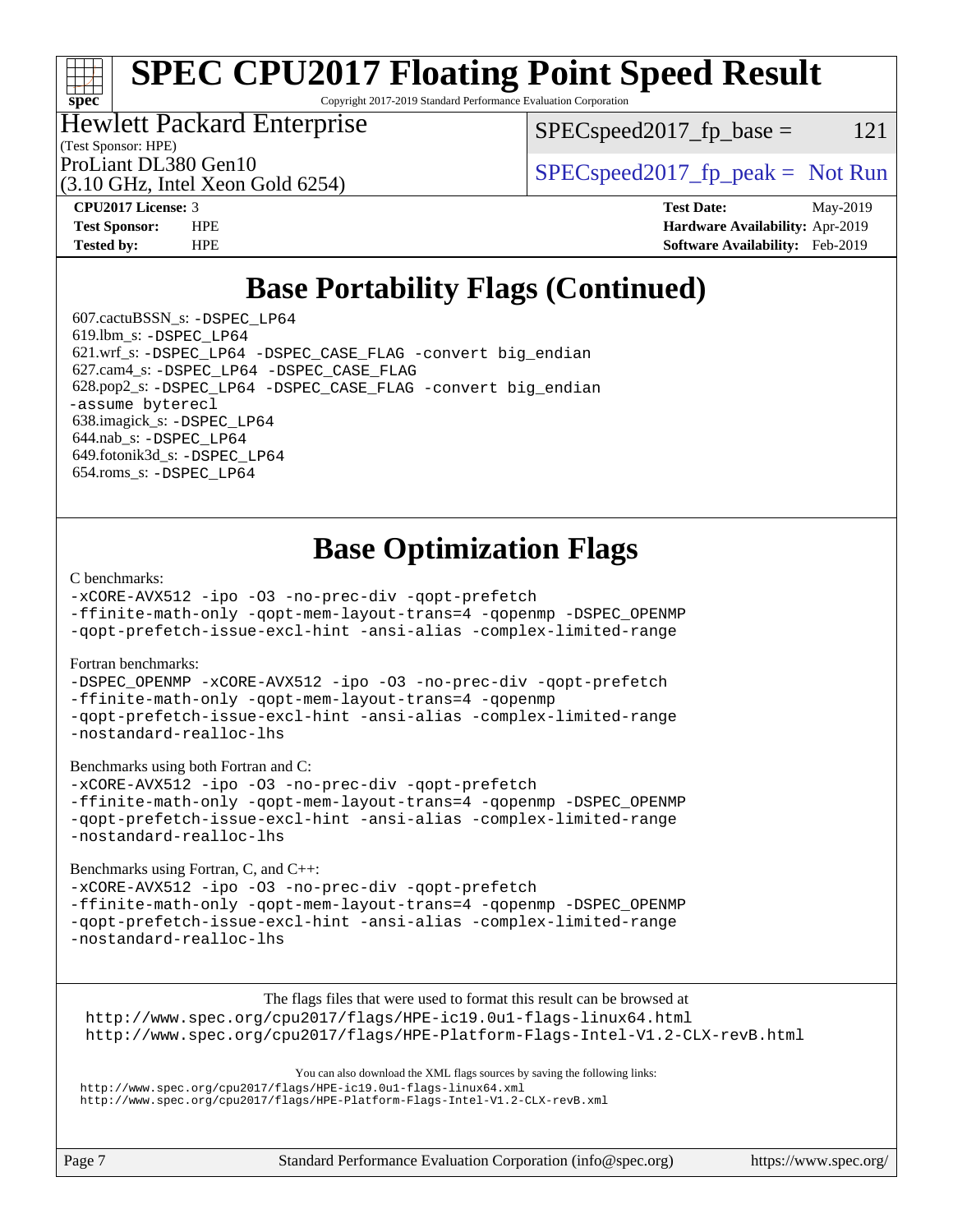# **[SPEC CPU2017 Floating Point Speed Result](http://www.spec.org/auto/cpu2017/Docs/result-fields.html#SPECCPU2017FloatingPointSpeedResult)**

Copyright 2017-2019 Standard Performance Evaluation Corporation

### Hewlett Packard Enterprise

 $SPEC speed2017_fp\_base = 121$ 

(Test Sponsor: HPE)

(3.10 GHz, Intel Xeon Gold 6254)

ProLiant DL380 Gen10  $SPEC speed2017$  [p\_peak = Not Run

**[spec](http://www.spec.org/)**

**[CPU2017 License:](http://www.spec.org/auto/cpu2017/Docs/result-fields.html#CPU2017License)** 3 **[Test Date:](http://www.spec.org/auto/cpu2017/Docs/result-fields.html#TestDate)** May-2019 **[Test Sponsor:](http://www.spec.org/auto/cpu2017/Docs/result-fields.html#TestSponsor)** HPE **[Hardware Availability:](http://www.spec.org/auto/cpu2017/Docs/result-fields.html#HardwareAvailability)** Apr-2019 **[Tested by:](http://www.spec.org/auto/cpu2017/Docs/result-fields.html#Testedby)** HPE **[Software Availability:](http://www.spec.org/auto/cpu2017/Docs/result-fields.html#SoftwareAvailability)** Feb-2019

# **[Base Portability Flags \(Continued\)](http://www.spec.org/auto/cpu2017/Docs/result-fields.html#BasePortabilityFlags)**

 607.cactuBSSN\_s: [-DSPEC\\_LP64](http://www.spec.org/cpu2017/results/res2019q3/cpu2017-20190624-15575.flags.html#suite_basePORTABILITY607_cactuBSSN_s_DSPEC_LP64) 619.lbm\_s: [-DSPEC\\_LP64](http://www.spec.org/cpu2017/results/res2019q3/cpu2017-20190624-15575.flags.html#suite_basePORTABILITY619_lbm_s_DSPEC_LP64) 621.wrf\_s: [-DSPEC\\_LP64](http://www.spec.org/cpu2017/results/res2019q3/cpu2017-20190624-15575.flags.html#suite_basePORTABILITY621_wrf_s_DSPEC_LP64) [-DSPEC\\_CASE\\_FLAG](http://www.spec.org/cpu2017/results/res2019q3/cpu2017-20190624-15575.flags.html#b621.wrf_s_baseCPORTABILITY_DSPEC_CASE_FLAG) [-convert big\\_endian](http://www.spec.org/cpu2017/results/res2019q3/cpu2017-20190624-15575.flags.html#user_baseFPORTABILITY621_wrf_s_convert_big_endian_c3194028bc08c63ac5d04de18c48ce6d347e4e562e8892b8bdbdc0214820426deb8554edfa529a3fb25a586e65a3d812c835984020483e7e73212c4d31a38223) 627.cam4\_s: [-DSPEC\\_LP64](http://www.spec.org/cpu2017/results/res2019q3/cpu2017-20190624-15575.flags.html#suite_basePORTABILITY627_cam4_s_DSPEC_LP64) [-DSPEC\\_CASE\\_FLAG](http://www.spec.org/cpu2017/results/res2019q3/cpu2017-20190624-15575.flags.html#b627.cam4_s_baseCPORTABILITY_DSPEC_CASE_FLAG) 628.pop2\_s: [-DSPEC\\_LP64](http://www.spec.org/cpu2017/results/res2019q3/cpu2017-20190624-15575.flags.html#suite_basePORTABILITY628_pop2_s_DSPEC_LP64) [-DSPEC\\_CASE\\_FLAG](http://www.spec.org/cpu2017/results/res2019q3/cpu2017-20190624-15575.flags.html#b628.pop2_s_baseCPORTABILITY_DSPEC_CASE_FLAG) [-convert big\\_endian](http://www.spec.org/cpu2017/results/res2019q3/cpu2017-20190624-15575.flags.html#user_baseFPORTABILITY628_pop2_s_convert_big_endian_c3194028bc08c63ac5d04de18c48ce6d347e4e562e8892b8bdbdc0214820426deb8554edfa529a3fb25a586e65a3d812c835984020483e7e73212c4d31a38223) [-assume byterecl](http://www.spec.org/cpu2017/results/res2019q3/cpu2017-20190624-15575.flags.html#user_baseFPORTABILITY628_pop2_s_assume_byterecl_7e47d18b9513cf18525430bbf0f2177aa9bf368bc7a059c09b2c06a34b53bd3447c950d3f8d6c70e3faf3a05c8557d66a5798b567902e8849adc142926523472) 638.imagick\_s: [-DSPEC\\_LP64](http://www.spec.org/cpu2017/results/res2019q3/cpu2017-20190624-15575.flags.html#suite_basePORTABILITY638_imagick_s_DSPEC_LP64) 644.nab\_s: [-DSPEC\\_LP64](http://www.spec.org/cpu2017/results/res2019q3/cpu2017-20190624-15575.flags.html#suite_basePORTABILITY644_nab_s_DSPEC_LP64) 649.fotonik3d\_s: [-DSPEC\\_LP64](http://www.spec.org/cpu2017/results/res2019q3/cpu2017-20190624-15575.flags.html#suite_basePORTABILITY649_fotonik3d_s_DSPEC_LP64) 654.roms\_s: [-DSPEC\\_LP64](http://www.spec.org/cpu2017/results/res2019q3/cpu2017-20190624-15575.flags.html#suite_basePORTABILITY654_roms_s_DSPEC_LP64)

# **[Base Optimization Flags](http://www.spec.org/auto/cpu2017/Docs/result-fields.html#BaseOptimizationFlags)**

#### [C benchmarks](http://www.spec.org/auto/cpu2017/Docs/result-fields.html#Cbenchmarks):

[-xCORE-AVX512](http://www.spec.org/cpu2017/results/res2019q3/cpu2017-20190624-15575.flags.html#user_CCbase_f-xCORE-AVX512) [-ipo](http://www.spec.org/cpu2017/results/res2019q3/cpu2017-20190624-15575.flags.html#user_CCbase_f-ipo) [-O3](http://www.spec.org/cpu2017/results/res2019q3/cpu2017-20190624-15575.flags.html#user_CCbase_f-O3) [-no-prec-div](http://www.spec.org/cpu2017/results/res2019q3/cpu2017-20190624-15575.flags.html#user_CCbase_f-no-prec-div) [-qopt-prefetch](http://www.spec.org/cpu2017/results/res2019q3/cpu2017-20190624-15575.flags.html#user_CCbase_f-qopt-prefetch)

[-ffinite-math-only](http://www.spec.org/cpu2017/results/res2019q3/cpu2017-20190624-15575.flags.html#user_CCbase_f_finite_math_only_cb91587bd2077682c4b38af759c288ed7c732db004271a9512da14a4f8007909a5f1427ecbf1a0fb78ff2a814402c6114ac565ca162485bbcae155b5e4258871) [-qopt-mem-layout-trans=4](http://www.spec.org/cpu2017/results/res2019q3/cpu2017-20190624-15575.flags.html#user_CCbase_f-qopt-mem-layout-trans_fa39e755916c150a61361b7846f310bcdf6f04e385ef281cadf3647acec3f0ae266d1a1d22d972a7087a248fd4e6ca390a3634700869573d231a252c784941a8) [-qopenmp](http://www.spec.org/cpu2017/results/res2019q3/cpu2017-20190624-15575.flags.html#user_CCbase_qopenmp_16be0c44f24f464004c6784a7acb94aca937f053568ce72f94b139a11c7c168634a55f6653758ddd83bcf7b8463e8028bb0b48b77bcddc6b78d5d95bb1df2967) [-DSPEC\\_OPENMP](http://www.spec.org/cpu2017/results/res2019q3/cpu2017-20190624-15575.flags.html#suite_CCbase_DSPEC_OPENMP)

[-qopt-prefetch-issue-excl-hint](http://www.spec.org/cpu2017/results/res2019q3/cpu2017-20190624-15575.flags.html#user_CCbase_f-qopt-prefetch-issue-excl-hint) [-ansi-alias](http://www.spec.org/cpu2017/results/res2019q3/cpu2017-20190624-15575.flags.html#user_CCbase_f-ansi-alias) [-complex-limited-range](http://www.spec.org/cpu2017/results/res2019q3/cpu2017-20190624-15575.flags.html#user_CCbase_f-complex-limited-range)

#### [Fortran benchmarks](http://www.spec.org/auto/cpu2017/Docs/result-fields.html#Fortranbenchmarks):

[-DSPEC\\_OPENMP](http://www.spec.org/cpu2017/results/res2019q3/cpu2017-20190624-15575.flags.html#suite_FCbase_DSPEC_OPENMP) [-xCORE-AVX512](http://www.spec.org/cpu2017/results/res2019q3/cpu2017-20190624-15575.flags.html#user_FCbase_f-xCORE-AVX512) [-ipo](http://www.spec.org/cpu2017/results/res2019q3/cpu2017-20190624-15575.flags.html#user_FCbase_f-ipo) [-O3](http://www.spec.org/cpu2017/results/res2019q3/cpu2017-20190624-15575.flags.html#user_FCbase_f-O3) [-no-prec-div](http://www.spec.org/cpu2017/results/res2019q3/cpu2017-20190624-15575.flags.html#user_FCbase_f-no-prec-div) [-qopt-prefetch](http://www.spec.org/cpu2017/results/res2019q3/cpu2017-20190624-15575.flags.html#user_FCbase_f-qopt-prefetch) [-ffinite-math-only](http://www.spec.org/cpu2017/results/res2019q3/cpu2017-20190624-15575.flags.html#user_FCbase_f_finite_math_only_cb91587bd2077682c4b38af759c288ed7c732db004271a9512da14a4f8007909a5f1427ecbf1a0fb78ff2a814402c6114ac565ca162485bbcae155b5e4258871) [-qopt-mem-layout-trans=4](http://www.spec.org/cpu2017/results/res2019q3/cpu2017-20190624-15575.flags.html#user_FCbase_f-qopt-mem-layout-trans_fa39e755916c150a61361b7846f310bcdf6f04e385ef281cadf3647acec3f0ae266d1a1d22d972a7087a248fd4e6ca390a3634700869573d231a252c784941a8) [-qopenmp](http://www.spec.org/cpu2017/results/res2019q3/cpu2017-20190624-15575.flags.html#user_FCbase_qopenmp_16be0c44f24f464004c6784a7acb94aca937f053568ce72f94b139a11c7c168634a55f6653758ddd83bcf7b8463e8028bb0b48b77bcddc6b78d5d95bb1df2967) [-qopt-prefetch-issue-excl-hint](http://www.spec.org/cpu2017/results/res2019q3/cpu2017-20190624-15575.flags.html#user_FCbase_f-qopt-prefetch-issue-excl-hint) [-ansi-alias](http://www.spec.org/cpu2017/results/res2019q3/cpu2017-20190624-15575.flags.html#user_FCbase_f-ansi-alias) [-complex-limited-range](http://www.spec.org/cpu2017/results/res2019q3/cpu2017-20190624-15575.flags.html#user_FCbase_f-complex-limited-range) [-nostandard-realloc-lhs](http://www.spec.org/cpu2017/results/res2019q3/cpu2017-20190624-15575.flags.html#user_FCbase_f_2003_std_realloc_82b4557e90729c0f113870c07e44d33d6f5a304b4f63d4c15d2d0f1fab99f5daaed73bdb9275d9ae411527f28b936061aa8b9c8f2d63842963b95c9dd6426b8a)

[Benchmarks using both Fortran and C](http://www.spec.org/auto/cpu2017/Docs/result-fields.html#BenchmarksusingbothFortranandC):

[-xCORE-AVX512](http://www.spec.org/cpu2017/results/res2019q3/cpu2017-20190624-15575.flags.html#user_CC_FCbase_f-xCORE-AVX512) [-ipo](http://www.spec.org/cpu2017/results/res2019q3/cpu2017-20190624-15575.flags.html#user_CC_FCbase_f-ipo) [-O3](http://www.spec.org/cpu2017/results/res2019q3/cpu2017-20190624-15575.flags.html#user_CC_FCbase_f-O3) [-no-prec-div](http://www.spec.org/cpu2017/results/res2019q3/cpu2017-20190624-15575.flags.html#user_CC_FCbase_f-no-prec-div) [-qopt-prefetch](http://www.spec.org/cpu2017/results/res2019q3/cpu2017-20190624-15575.flags.html#user_CC_FCbase_f-qopt-prefetch) [-ffinite-math-only](http://www.spec.org/cpu2017/results/res2019q3/cpu2017-20190624-15575.flags.html#user_CC_FCbase_f_finite_math_only_cb91587bd2077682c4b38af759c288ed7c732db004271a9512da14a4f8007909a5f1427ecbf1a0fb78ff2a814402c6114ac565ca162485bbcae155b5e4258871) [-qopt-mem-layout-trans=4](http://www.spec.org/cpu2017/results/res2019q3/cpu2017-20190624-15575.flags.html#user_CC_FCbase_f-qopt-mem-layout-trans_fa39e755916c150a61361b7846f310bcdf6f04e385ef281cadf3647acec3f0ae266d1a1d22d972a7087a248fd4e6ca390a3634700869573d231a252c784941a8) [-qopenmp](http://www.spec.org/cpu2017/results/res2019q3/cpu2017-20190624-15575.flags.html#user_CC_FCbase_qopenmp_16be0c44f24f464004c6784a7acb94aca937f053568ce72f94b139a11c7c168634a55f6653758ddd83bcf7b8463e8028bb0b48b77bcddc6b78d5d95bb1df2967) [-DSPEC\\_OPENMP](http://www.spec.org/cpu2017/results/res2019q3/cpu2017-20190624-15575.flags.html#suite_CC_FCbase_DSPEC_OPENMP) [-qopt-prefetch-issue-excl-hint](http://www.spec.org/cpu2017/results/res2019q3/cpu2017-20190624-15575.flags.html#user_CC_FCbase_f-qopt-prefetch-issue-excl-hint) [-ansi-alias](http://www.spec.org/cpu2017/results/res2019q3/cpu2017-20190624-15575.flags.html#user_CC_FCbase_f-ansi-alias) [-complex-limited-range](http://www.spec.org/cpu2017/results/res2019q3/cpu2017-20190624-15575.flags.html#user_CC_FCbase_f-complex-limited-range) [-nostandard-realloc-lhs](http://www.spec.org/cpu2017/results/res2019q3/cpu2017-20190624-15575.flags.html#user_CC_FCbase_f_2003_std_realloc_82b4557e90729c0f113870c07e44d33d6f5a304b4f63d4c15d2d0f1fab99f5daaed73bdb9275d9ae411527f28b936061aa8b9c8f2d63842963b95c9dd6426b8a)

[Benchmarks using Fortran, C, and C++:](http://www.spec.org/auto/cpu2017/Docs/result-fields.html#BenchmarksusingFortranCandCXX)

[-xCORE-AVX512](http://www.spec.org/cpu2017/results/res2019q3/cpu2017-20190624-15575.flags.html#user_CC_CXX_FCbase_f-xCORE-AVX512) [-ipo](http://www.spec.org/cpu2017/results/res2019q3/cpu2017-20190624-15575.flags.html#user_CC_CXX_FCbase_f-ipo) [-O3](http://www.spec.org/cpu2017/results/res2019q3/cpu2017-20190624-15575.flags.html#user_CC_CXX_FCbase_f-O3) [-no-prec-div](http://www.spec.org/cpu2017/results/res2019q3/cpu2017-20190624-15575.flags.html#user_CC_CXX_FCbase_f-no-prec-div) [-qopt-prefetch](http://www.spec.org/cpu2017/results/res2019q3/cpu2017-20190624-15575.flags.html#user_CC_CXX_FCbase_f-qopt-prefetch) [-ffinite-math-only](http://www.spec.org/cpu2017/results/res2019q3/cpu2017-20190624-15575.flags.html#user_CC_CXX_FCbase_f_finite_math_only_cb91587bd2077682c4b38af759c288ed7c732db004271a9512da14a4f8007909a5f1427ecbf1a0fb78ff2a814402c6114ac565ca162485bbcae155b5e4258871) [-qopt-mem-layout-trans=4](http://www.spec.org/cpu2017/results/res2019q3/cpu2017-20190624-15575.flags.html#user_CC_CXX_FCbase_f-qopt-mem-layout-trans_fa39e755916c150a61361b7846f310bcdf6f04e385ef281cadf3647acec3f0ae266d1a1d22d972a7087a248fd4e6ca390a3634700869573d231a252c784941a8) [-qopenmp](http://www.spec.org/cpu2017/results/res2019q3/cpu2017-20190624-15575.flags.html#user_CC_CXX_FCbase_qopenmp_16be0c44f24f464004c6784a7acb94aca937f053568ce72f94b139a11c7c168634a55f6653758ddd83bcf7b8463e8028bb0b48b77bcddc6b78d5d95bb1df2967) [-DSPEC\\_OPENMP](http://www.spec.org/cpu2017/results/res2019q3/cpu2017-20190624-15575.flags.html#suite_CC_CXX_FCbase_DSPEC_OPENMP) [-qopt-prefetch-issue-excl-hint](http://www.spec.org/cpu2017/results/res2019q3/cpu2017-20190624-15575.flags.html#user_CC_CXX_FCbase_f-qopt-prefetch-issue-excl-hint) [-ansi-alias](http://www.spec.org/cpu2017/results/res2019q3/cpu2017-20190624-15575.flags.html#user_CC_CXX_FCbase_f-ansi-alias) [-complex-limited-range](http://www.spec.org/cpu2017/results/res2019q3/cpu2017-20190624-15575.flags.html#user_CC_CXX_FCbase_f-complex-limited-range) [-nostandard-realloc-lhs](http://www.spec.org/cpu2017/results/res2019q3/cpu2017-20190624-15575.flags.html#user_CC_CXX_FCbase_f_2003_std_realloc_82b4557e90729c0f113870c07e44d33d6f5a304b4f63d4c15d2d0f1fab99f5daaed73bdb9275d9ae411527f28b936061aa8b9c8f2d63842963b95c9dd6426b8a)

The flags files that were used to format this result can be browsed at <http://www.spec.org/cpu2017/flags/HPE-ic19.0u1-flags-linux64.html> <http://www.spec.org/cpu2017/flags/HPE-Platform-Flags-Intel-V1.2-CLX-revB.html>

You can also download the XML flags sources by saving the following links: <http://www.spec.org/cpu2017/flags/HPE-ic19.0u1-flags-linux64.xml> <http://www.spec.org/cpu2017/flags/HPE-Platform-Flags-Intel-V1.2-CLX-revB.xml>